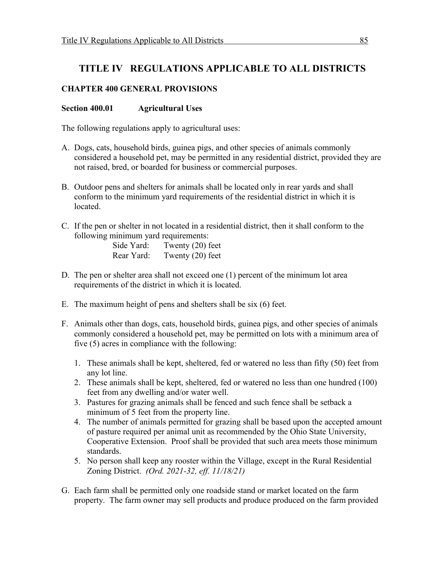# **TITLE IV REGULATIONS APPLICABLE TO ALL DISTRICTS**

# **CHAPTER 400 GENERAL PROVISIONS**

### **Section 400.01 Agricultural Uses**

The following regulations apply to agricultural uses:

- A. Dogs, cats, household birds, guinea pigs, and other species of animals commonly considered a household pet, may be permitted in any residential district, provided they are not raised, bred, or boarded for business or commercial purposes.
- B. Outdoor pens and shelters for animals shall be located only in rear yards and shall conform to the minimum yard requirements of the residential district in which it is located.
- C. If the pen or shelter in not located in a residential district, then it shall conform to the following minimum yard requirements:

| Side Yard: | Twenty $(20)$ feet |
|------------|--------------------|
| Rear Yard: | Twenty $(20)$ feet |

- D. The pen or shelter area shall not exceed one (1) percent of the minimum lot area requirements of the district in which it is located.
- E. The maximum height of pens and shelters shall be six (6) feet.
- F. Animals other than dogs, cats, household birds, guinea pigs, and other species of animals commonly considered a household pet, may be permitted on lots with a minimum area of five (5) acres in compliance with the following:
	- 1. These animals shall be kept, sheltered, fed or watered no less than fifty (50) feet from any lot line.
	- 2. These animals shall be kept, sheltered, fed or watered no less than one hundred (100) feet from any dwelling and/or water well.
	- 3. Pastures for grazing animals shall be fenced and such fence shall be setback a minimum of 5 feet from the property line.
	- 4. The number of animals permitted for grazing shall be based upon the accepted amount of pasture required per animal unit as recommended by the Ohio State University, Cooperative Extension. Proof shall be provided that such area meets those minimum standards.
	- 5. No person shall keep any rooster within the Village, except in the Rural Residential Zoning District. *(Ord. 2021-32, eff. 11/18/21)*
- G. Each farm shall be permitted only one roadside stand or market located on the farm property. The farm owner may sell products and produce produced on the farm provided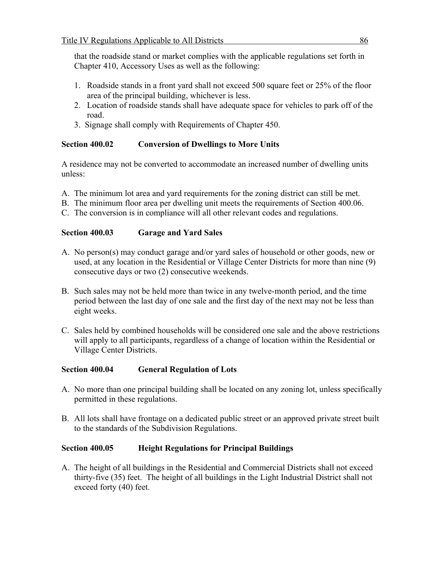that the roadside stand or market complies with the applicable regulations set forth in Chapter 410, Accessory Uses as well as the following:

- 1. Roadside stands in a front yard shall not exceed 500 square feet or 25% of the floor area of the principal building, whichever is less.
- 2. Location of roadside stands shall have adequate space for vehicles to park off of the road.
- 3. Signage shall comply with Requirements of Chapter 450.

# **Section 400.02 Conversion of Dwellings to More Units**

A residence may not be converted to accommodate an increased number of dwelling units unless:

- A. The minimum lot area and yard requirements for the zoning district can still be met.
- B. The minimum floor area per dwelling unit meets the requirements of Section 400.06.
- C. The conversion is in compliance will all other relevant codes and regulations.

# **Section 400.03 Garage and Yard Sales**

- A. No person(s) may conduct garage and/or yard sales of household or other goods, new or used, at any location in the Residential or Village Center Districts for more than nine (9) consecutive days or two (2) consecutive weekends.
- B. Such sales may not be held more than twice in any twelve-month period, and the time period between the last day of one sale and the first day of the next may not be less than eight weeks.
- C. Sales held by combined households will be considered one sale and the above restrictions will apply to all participants, regardless of a change of location within the Residential or Village Center Districts.

# **Section 400.04 General Regulation of Lots**

- A. No more than one principal building shall be located on any zoning lot, unless specifically permitted in these regulations.
- B. All lots shall have frontage on a dedicated public street or an approved private street built to the standards of the Subdivision Regulations.

# **Section 400.05 Height Regulations for Principal Buildings**

A. The height of all buildings in the Residential and Commercial Districts shall not exceed thirty-five (35) feet. The height of all buildings in the Light Industrial District shall not exceed forty (40) feet.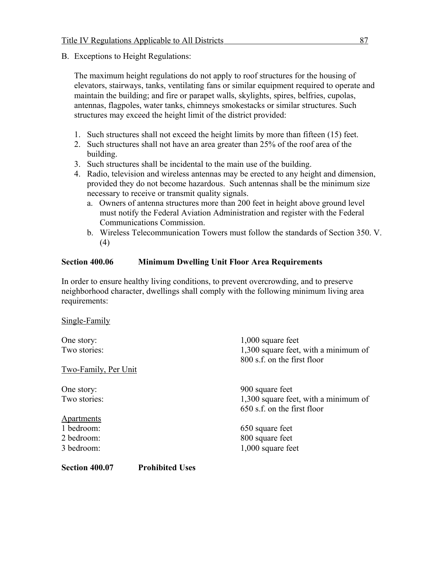B. Exceptions to Height Regulations:

Single-Family

The maximum height regulations do not apply to roof structures for the housing of elevators, stairways, tanks, ventilating fans or similar equipment required to operate and maintain the building; and fire or parapet walls, skylights, spires, belfries, cupolas, antennas, flagpoles, water tanks, chimneys smokestacks or similar structures. Such structures may exceed the height limit of the district provided:

- 1. Such structures shall not exceed the height limits by more than fifteen (15) feet.
- 2. Such structures shall not have an area greater than 25% of the roof area of the building.
- 3. Such structures shall be incidental to the main use of the building.
- 4. Radio, television and wireless antennas may be erected to any height and dimension, provided they do not become hazardous. Such antennas shall be the minimum size necessary to receive or transmit quality signals.
	- a. Owners of antenna structures more than 200 feet in height above ground level must notify the Federal Aviation Administration and register with the Federal Communications Commission.
	- b. Wireless Telecommunication Towers must follow the standards of Section 350. V. (4)

# **Section 400.06 Minimum Dwelling Unit Floor Area Requirements**

In order to ensure healthy living conditions, to prevent overcrowding, and to preserve neighborhood character, dwellings shall comply with the following minimum living area requirements:

| One story:                               | $1,000$ square feet                  |
|------------------------------------------|--------------------------------------|
| Two stories:                             | 1,300 square feet, with a minimum of |
|                                          | 800 s.f. on the first floor          |
| Two-Family, Per Unit                     |                                      |
| One story:                               | 900 square feet                      |
| Two stories:                             | 1,300 square feet, with a minimum of |
|                                          | 650 s.f. on the first floor          |
| <b>Apartments</b>                        |                                      |
| 1 bedroom:                               | 650 square feet                      |
| 2 bedroom:                               | 800 square feet                      |
| 3 bedroom:                               | $1,000$ square feet                  |
| Section 400.07<br><b>Prohibited Uses</b> |                                      |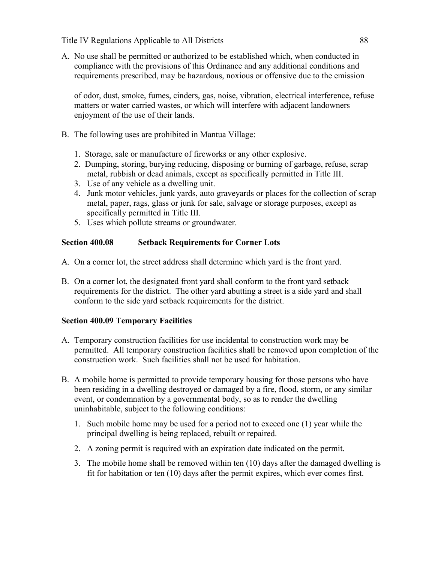A. No use shall be permitted or authorized to be established which, when conducted in compliance with the provisions of this Ordinance and any additional conditions and requirements prescribed, may be hazardous, noxious or offensive due to the emission

of odor, dust, smoke, fumes, cinders, gas, noise, vibration, electrical interference, refuse matters or water carried wastes, or which will interfere with adjacent landowners enjoyment of the use of their lands.

- B. The following uses are prohibited in Mantua Village:
	- 1. Storage, sale or manufacture of fireworks or any other explosive.
	- 2. Dumping, storing, burying reducing, disposing or burning of garbage, refuse, scrap metal, rubbish or dead animals, except as specifically permitted in Title III.
	- 3. Use of any vehicle as a dwelling unit.
	- 4. Junk motor vehicles, junk yards, auto graveyards or places for the collection of scrap metal, paper, rags, glass or junk for sale, salvage or storage purposes, except as specifically permitted in Title III.
	- 5. Uses which pollute streams or groundwater.

# **Section 400.08 Setback Requirements for Corner Lots**

- A. On a corner lot, the street address shall determine which yard is the front yard.
- B. On a corner lot, the designated front yard shall conform to the front yard setback requirements for the district. The other yard abutting a street is a side yard and shall conform to the side yard setback requirements for the district.

#### **Section 400.09 Temporary Facilities**

- A. Temporary construction facilities for use incidental to construction work may be permitted. All temporary construction facilities shall be removed upon completion of the construction work. Such facilities shall not be used for habitation.
- B. A mobile home is permitted to provide temporary housing for those persons who have been residing in a dwelling destroyed or damaged by a fire, flood, storm, or any similar event, or condemnation by a governmental body, so as to render the dwelling uninhabitable, subject to the following conditions:
	- 1. Such mobile home may be used for a period not to exceed one (1) year while the principal dwelling is being replaced, rebuilt or repaired.
	- 2. A zoning permit is required with an expiration date indicated on the permit.
	- 3. The mobile home shall be removed within ten (10) days after the damaged dwelling is fit for habitation or ten (10) days after the permit expires, which ever comes first.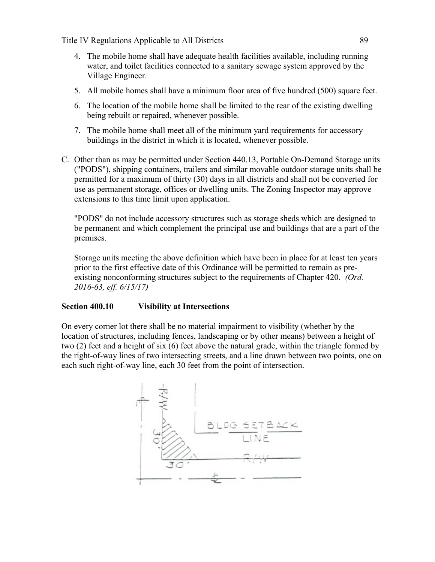- 4. The mobile home shall have adequate health facilities available, including running water, and toilet facilities connected to a sanitary sewage system approved by the Village Engineer.
- 5. All mobile homes shall have a minimum floor area of five hundred (500) square feet.
- 6. The location of the mobile home shall be limited to the rear of the existing dwelling being rebuilt or repaired, whenever possible.
- 7. The mobile home shall meet all of the minimum yard requirements for accessory buildings in the district in which it is located, whenever possible.
- C. Other than as may be permitted under Section 440.13, Portable On-Demand Storage units ("PODS"), shipping containers, trailers and similar movable outdoor storage units shall be permitted for a maximum of thirty (30) days in all districts and shall not be converted for use as permanent storage, offices or dwelling units. The Zoning Inspector may approve extensions to this time limit upon application.

"PODS" do not include accessory structures such as storage sheds which are designed to be permanent and which complement the principal use and buildings that are a part of the premises.

Storage units meeting the above definition which have been in place for at least ten years prior to the first effective date of this Ordinance will be permitted to remain as preexisting nonconforming structures subject to the requirements of Chapter 420. *(Ord. 2016-63, eff. 6/15/17)*

#### **Section 400.10 Visibility at Intersections**

On every corner lot there shall be no material impairment to visibility (whether by the location of structures, including fences, landscaping or by other means) between a height of two (2) feet and a height of six (6) feet above the natural grade, within the triangle formed by the right-of-way lines of two intersecting streets, and a line drawn between two points, one on each such right-of-way line, each 30 feet from the point of intersection.

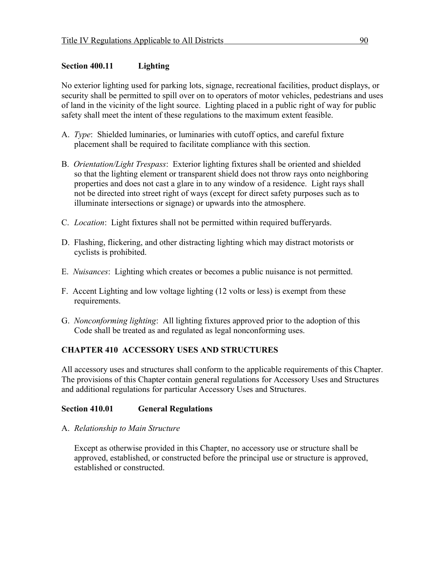# **Section 400.11 Lighting**

No exterior lighting used for parking lots, signage, recreational facilities, product displays, or security shall be permitted to spill over on to operators of motor vehicles, pedestrians and uses of land in the vicinity of the light source. Lighting placed in a public right of way for public safety shall meet the intent of these regulations to the maximum extent feasible.

- A. *Type*: Shielded luminaries, or luminaries with cutoff optics, and careful fixture placement shall be required to facilitate compliance with this section.
- B. *Orientation/Light Trespass*: Exterior lighting fixtures shall be oriented and shielded so that the lighting element or transparent shield does not throw rays onto neighboring properties and does not cast a glare in to any window of a residence. Light rays shall not be directed into street right of ways (except for direct safety purposes such as to illuminate intersections or signage) or upwards into the atmosphere.
- C. *Location*: Light fixtures shall not be permitted within required bufferyards.
- D. Flashing, flickering, and other distracting lighting which may distract motorists or cyclists is prohibited.
- E. *Nuisances*: Lighting which creates or becomes a public nuisance is not permitted.
- F. Accent Lighting and low voltage lighting (12 volts or less) is exempt from these requirements.
- G. *Nonconforming lighting*: All lighting fixtures approved prior to the adoption of this Code shall be treated as and regulated as legal nonconforming uses.

# **CHAPTER 410 ACCESSORY USES AND STRUCTURES**

All accessory uses and structures shall conform to the applicable requirements of this Chapter. The provisions of this Chapter contain general regulations for Accessory Uses and Structures and additional regulations for particular Accessory Uses and Structures.

#### **Section 410.01 General Regulations**

#### A. *Relationship to Main Structure*

Except as otherwise provided in this Chapter, no accessory use or structure shall be approved, established, or constructed before the principal use or structure is approved, established or constructed.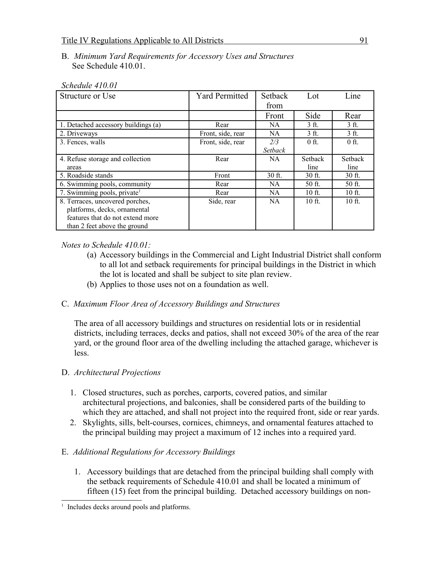#### B. *Minimum Yard Requirements for Accessory Uses and Structures* See Schedule 410.01.

| Structure or Use                        | <b>Yard Permitted</b> | Setback   | Lot             | Line     |
|-----------------------------------------|-----------------------|-----------|-----------------|----------|
|                                         |                       | from      |                 |          |
|                                         |                       | Front     | Side            | Rear     |
| 1. Detached accessory buildings (a)     | Rear                  | NA.       | 3 <sub>ft</sub> | 3 ft.    |
| 2. Driveways                            | Front, side, rear     | NA        | 3 ft.           | 3 ft.    |
| 3. Fences, walls                        | Front, side, rear     | 2/3       | $0$ ft.         | $0$ ft.  |
|                                         |                       | Setback   |                 |          |
| 4. Refuse storage and collection        | Rear                  | NA        | <b>Setback</b>  | Setback  |
| areas                                   |                       |           | line            | line     |
| 5. Roadside stands                      | Front                 | 30 ft.    | $30$ ft.        | 30 ft.   |
| 6. Swimming pools, community            | Rear                  | NA.       | 50 ft.          | 50 ft.   |
| 7. Swimming pools, private <sup>1</sup> | Rear                  | <b>NA</b> | 10 ft.          | 10 ft.   |
| 8. Terraces, uncovered porches,         | Side, rear            | NA        | $10$ ft.        | $10$ ft. |
| platforms, decks, ornamental            |                       |           |                 |          |
| features that do not extend more        |                       |           |                 |          |
| than 2 feet above the ground            |                       |           |                 |          |

#### *Schedule 410.01*

#### *Notes to Schedule 410.01:*

- (a) Accessory buildings in the Commercial and Light Industrial District shall conform to all lot and setback requirements for principal buildings in the District in which the lot is located and shall be subject to site plan review.
- (b) Applies to those uses not on a foundation as well.

# C. *Maximum Floor Area of Accessory Buildings and Structures*

The area of all accessory buildings and structures on residential lots or in residential districts, including terraces, decks and patios, shall not exceed 30% of the area of the rear yard, or the ground floor area of the dwelling including the attached garage, whichever is less.

#### D. *Architectural Projections*

- 1. Closed structures, such as porches, carports, covered patios, and similar architectural projections, and balconies, shall be considered parts of the building to which they are attached, and shall not project into the required front, side or rear yards.
- 2. Skylights, sills, belt-courses, cornices, chimneys, and ornamental features attached to the principal building may project a maximum of 12 inches into a required yard.

#### E. *Additional Regulations for Accessory Buildings*

1. Accessory buildings that are detached from the principal building shall comply with the setback requirements of Schedule 410.01 and shall be located a minimum of fifteen (15) feet from the principal building. Detached accessory buildings on non-

<span id="page-6-0"></span><sup>&</sup>lt;sup>1</sup> Includes decks around pools and platforms.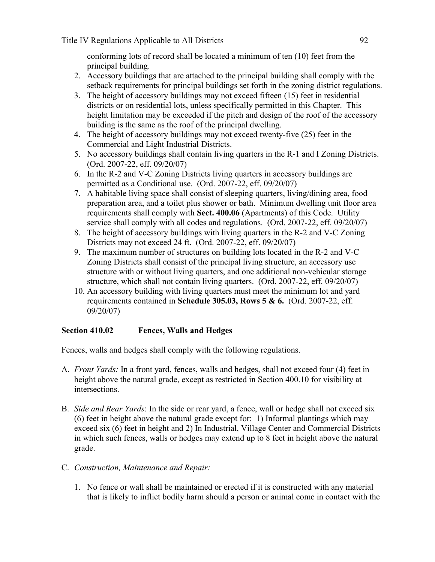conforming lots of record shall be located a minimum of ten (10) feet from the principal building.

- 2. Accessory buildings that are attached to the principal building shall comply with the setback requirements for principal buildings set forth in the zoning district regulations.
- 3. The height of accessory buildings may not exceed fifteen (15) feet in residential districts or on residential lots, unless specifically permitted in this Chapter. This height limitation may be exceeded if the pitch and design of the roof of the accessory building is the same as the roof of the principal dwelling.
- 4. The height of accessory buildings may not exceed twenty-five (25) feet in the Commercial and Light Industrial Districts.
- 5. No accessory buildings shall contain living quarters in the R-1 and I Zoning Districts. (Ord. 2007-22, eff. 09/20/07)
- 6. In the R-2 and V-C Zoning Districts living quarters in accessory buildings are permitted as a Conditional use. (Ord. 2007-22, eff. 09/20/07)
- 7. A habitable living space shall consist of sleeping quarters, living/dining area, food preparation area, and a toilet plus shower or bath. Minimum dwelling unit floor area requirements shall comply with **Sect. 400.06** (Apartments) of this Code. Utility service shall comply with all codes and regulations. (Ord. 2007-22, eff. 09/20/07)
- 8. The height of accessory buildings with living quarters in the R-2 and V-C Zoning Districts may not exceed 24 ft. (Ord. 2007-22, eff. 09/20/07)
- 9. The maximum number of structures on building lots located in the R-2 and V-C Zoning Districts shall consist of the principal living structure, an accessory use structure with or without living quarters, and one additional non-vehicular storage structure, which shall not contain living quarters. (Ord. 2007-22, eff. 09/20/07)
- 10. An accessory building with living quarters must meet the minimum lot and yard requirements contained in **Schedule 305.03, Rows 5 & 6.** (Ord. 2007-22, eff. 09/20/07)

# **Section 410.02 Fences, Walls and Hedges**

Fences, walls and hedges shall comply with the following regulations.

- A. *Front Yards:* In a front yard, fences, walls and hedges, shall not exceed four (4) feet in height above the natural grade, except as restricted in Section 400.10 for visibility at intersections.
- B. *Side and Rear Yards*: In the side or rear yard, a fence, wall or hedge shall not exceed six (6) feet in height above the natural grade except for: 1) Informal plantings which may exceed six (6) feet in height and 2) In Industrial, Village Center and Commercial Districts in which such fences, walls or hedges may extend up to 8 feet in height above the natural grade.
- C. *Construction, Maintenance and Repair:*
	- 1. No fence or wall shall be maintained or erected if it is constructed with any material that is likely to inflict bodily harm should a person or animal come in contact with the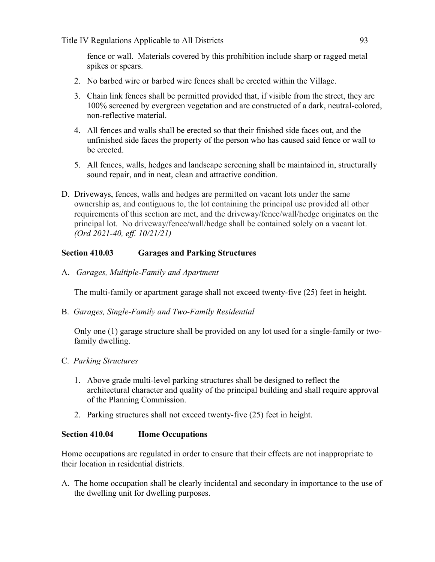fence or wall. Materials covered by this prohibition include sharp or ragged metal spikes or spears.

- 2. No barbed wire or barbed wire fences shall be erected within the Village.
- 3. Chain link fences shall be permitted provided that, if visible from the street, they are 100% screened by evergreen vegetation and are constructed of a dark, neutral-colored, non-reflective material.
- 4. All fences and walls shall be erected so that their finished side faces out, and the unfinished side faces the property of the person who has caused said fence or wall to be erected.
- 5. All fences, walls, hedges and landscape screening shall be maintained in, structurally sound repair, and in neat, clean and attractive condition.
- D. Driveways, fences, walls and hedges are permitted on vacant lots under the same ownership as, and contiguous to, the lot containing the principal use provided all other requirements of this section are met, and the driveway/fence/wall/hedge originates on the principal lot. No driveway/fence/wall/hedge shall be contained solely on a vacant lot. *(Ord 2021-40, eff. 10/21/21)*

# **Section 410.03 Garages and Parking Structures**

A. *Garages, Multiple-Family and Apartment*

The multi-family or apartment garage shall not exceed twenty-five (25) feet in height.

B. *Garages, Single-Family and Two-Family Residential*

Only one (1) garage structure shall be provided on any lot used for a single-family or twofamily dwelling.

- C. *Parking Structures*
	- 1. Above grade multi-level parking structures shall be designed to reflect the architectural character and quality of the principal building and shall require approval of the Planning Commission.
	- 2. Parking structures shall not exceed twenty-five (25) feet in height.

# **Section 410.04 Home Occupations**

Home occupations are regulated in order to ensure that their effects are not inappropriate to their location in residential districts.

A. The home occupation shall be clearly incidental and secondary in importance to the use of the dwelling unit for dwelling purposes.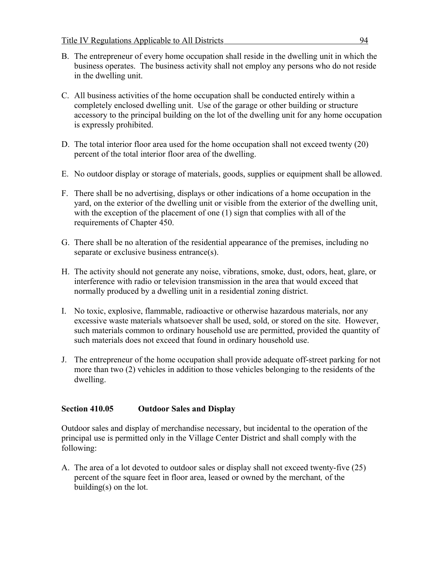- B. The entrepreneur of every home occupation shall reside in the dwelling unit in which the business operates. The business activity shall not employ any persons who do not reside in the dwelling unit.
- C. All business activities of the home occupation shall be conducted entirely within a completely enclosed dwelling unit. Use of the garage or other building or structure accessory to the principal building on the lot of the dwelling unit for any home occupation is expressly prohibited.
- D. The total interior floor area used for the home occupation shall not exceed twenty (20) percent of the total interior floor area of the dwelling.
- E. No outdoor display or storage of materials, goods, supplies or equipment shall be allowed.
- F. There shall be no advertising, displays or other indications of a home occupation in the yard, on the exterior of the dwelling unit or visible from the exterior of the dwelling unit, with the exception of the placement of one (1) sign that complies with all of the requirements of Chapter 450.
- G. There shall be no alteration of the residential appearance of the premises, including no separate or exclusive business entrance(s).
- H. The activity should not generate any noise, vibrations, smoke, dust, odors, heat, glare, or interference with radio or television transmission in the area that would exceed that normally produced by a dwelling unit in a residential zoning district.
- I. No toxic, explosive, flammable, radioactive or otherwise hazardous materials, nor any excessive waste materials whatsoever shall be used, sold, or stored on the site. However, such materials common to ordinary household use are permitted, provided the quantity of such materials does not exceed that found in ordinary household use.
- J. The entrepreneur of the home occupation shall provide adequate off-street parking for not more than two (2) vehicles in addition to those vehicles belonging to the residents of the dwelling.

#### **Section 410.05 Outdoor Sales and Display**

Outdoor sales and display of merchandise necessary, but incidental to the operation of the principal use is permitted only in the Village Center District and shall comply with the following:

A. The area of a lot devoted to outdoor sales or display shall not exceed twenty-five (25) percent of the square feet in floor area, leased or owned by the merchant*,* of the building(s) on the lot.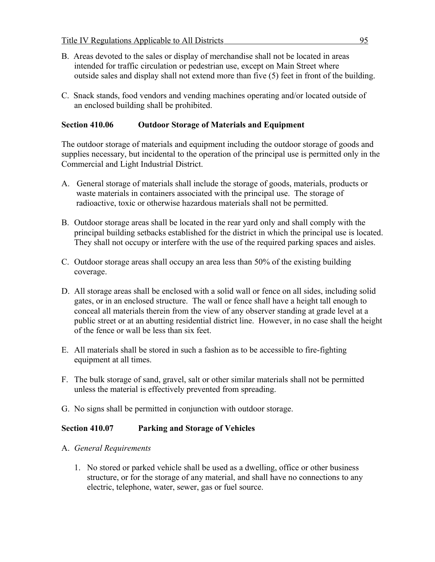- B. Areas devoted to the sales or display of merchandise shall not be located in areas intended for traffic circulation or pedestrian use, except on Main Street where outside sales and display shall not extend more than five (5) feet in front of the building.
- C. Snack stands, food vendors and vending machines operating and/or located outside of an enclosed building shall be prohibited.

### **Section 410.06 Outdoor Storage of Materials and Equipment**

The outdoor storage of materials and equipment including the outdoor storage of goods and supplies necessary, but incidental to the operation of the principal use is permitted only in the Commercial and Light Industrial District.

- A. General storage of materials shall include the storage of goods, materials, products or waste materials in containers associated with the principal use. The storage of radioactive, toxic or otherwise hazardous materials shall not be permitted.
- B. Outdoor storage areas shall be located in the rear yard only and shall comply with the principal building setbacks established for the district in which the principal use is located. They shall not occupy or interfere with the use of the required parking spaces and aisles.
- C. Outdoor storage areas shall occupy an area less than 50% of the existing building coverage.
- D. All storage areas shall be enclosed with a solid wall or fence on all sides, including solid gates, or in an enclosed structure. The wall or fence shall have a height tall enough to conceal all materials therein from the view of any observer standing at grade level at a public street or at an abutting residential district line. However, in no case shall the height of the fence or wall be less than six feet.
- E. All materials shall be stored in such a fashion as to be accessible to fire-fighting equipment at all times.
- F. The bulk storage of sand, gravel, salt or other similar materials shall not be permitted unless the material is effectively prevented from spreading.
- G. No signs shall be permitted in conjunction with outdoor storage.

#### **Section 410.07 Parking and Storage of Vehicles**

- A. *General Requirements*
	- 1. No stored or parked vehicle shall be used as a dwelling, office or other business structure, or for the storage of any material, and shall have no connections to any electric, telephone, water, sewer, gas or fuel source.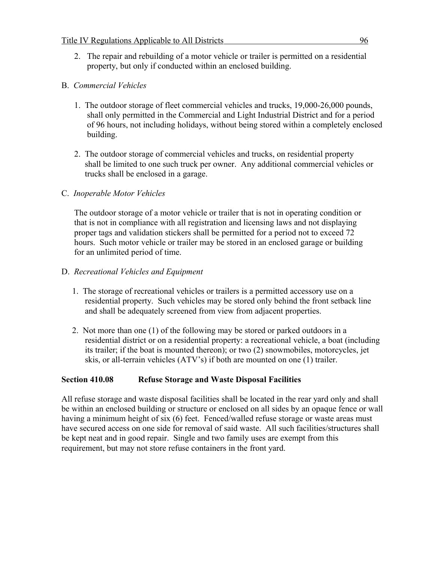2. The repair and rebuilding of a motor vehicle or trailer is permitted on a residential property, but only if conducted within an enclosed building.

# B. *Commercial Vehicles*

- 1. The outdoor storage of fleet commercial vehicles and trucks, 19,000-26,000 pounds, shall only permitted in the Commercial and Light Industrial District and for a period of 96 hours, not including holidays, without being stored within a completely enclosed building.
- 2. The outdoor storage of commercial vehicles and trucks, on residential property shall be limited to one such truck per owner. Any additional commercial vehicles or trucks shall be enclosed in a garage.

# C. *Inoperable Motor Vehicles*

 The outdoor storage of a motor vehicle or trailer that is not in operating condition or that is not in compliance with all registration and licensing laws and not displaying proper tags and validation stickers shall be permitted for a period not to exceed 72 hours. Such motor vehicle or trailer may be stored in an enclosed garage or building for an unlimited period of time.

# D. *Recreational Vehicles and Equipment*

- 1. The storage of recreational vehicles or trailers is a permitted accessory use on a residential property. Such vehicles may be stored only behind the front setback line and shall be adequately screened from view from adjacent properties.
- 2. Not more than one (1) of the following may be stored or parked outdoors in a residential district or on a residential property: a recreational vehicle, a boat (including its trailer; if the boat is mounted thereon); or two (2) snowmobiles, motorcycles, jet skis, or all-terrain vehicles (ATV's) if both are mounted on one (1) trailer.

#### **Section 410.08 Refuse Storage and Waste Disposal Facilities**

All refuse storage and waste disposal facilities shall be located in the rear yard only and shall be within an enclosed building or structure or enclosed on all sides by an opaque fence or wall having a minimum height of six (6) feet. Fenced/walled refuse storage or waste areas must have secured access on one side for removal of said waste. All such facilities/structures shall be kept neat and in good repair. Single and two family uses are exempt from this requirement, but may not store refuse containers in the front yard.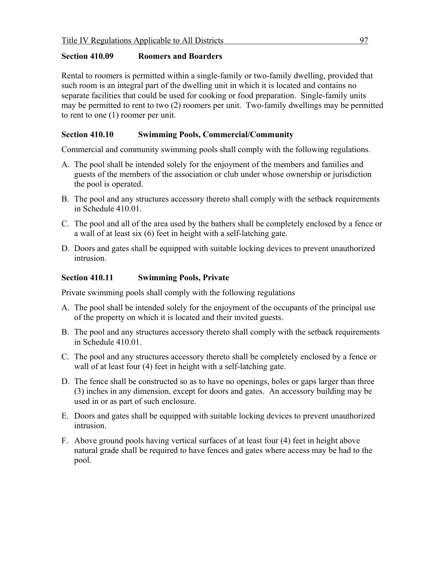### **Section 410.09 Roomers and Boarders**

Rental to roomers is permitted within a single-family or two-family dwelling, provided that such room is an integral part of the dwelling unit in which it is located and contains no separate facilities that could be used for cooking or food preparation. Single-family units may be permitted to rent to two (2) roomers per unit. Two-family dwellings may be permitted to rent to one (1) roomer per unit.

# **Section 410.10 Swimming Pools, Commercial/Community**

Commercial and community swimming pools shall comply with the following regulations.

- A. The pool shall be intended solely for the enjoyment of the members and families and guests of the members of the association or club under whose ownership or jurisdiction the pool is operated.
- B. The pool and any structures accessory thereto shall comply with the setback requirements in Schedule 410.01.
- C. The pool and all of the area used by the bathers shall be completely enclosed by a fence or a wall of at least six (6) feet in height with a self-latching gate.
- D. Doors and gates shall be equipped with suitable locking devices to prevent unauthorized intrusion.

# **Section 410.11 Swimming Pools, Private**

Private swimming pools shall comply with the following regulations

- A. The pool shall be intended solely for the enjoyment of the occupants of the principal use of the property on which it is located and their invited guests.
- B. The pool and any structures accessory thereto shall comply with the setback requirements in Schedule 410.01.
- C. The pool and any structures accessory thereto shall be completely enclosed by a fence or wall of at least four (4) feet in height with a self-latching gate.
- D. The fence shall be constructed so as to have no openings, holes or gaps larger than three (3) inches in any dimension, except for doors and gates. An accessory building may be used in or as part of such enclosure.
- E. Doors and gates shall be equipped with suitable locking devices to prevent unauthorized intrusion.
- F. Above ground pools having vertical surfaces of at least four (4) feet in height above natural grade shall be required to have fences and gates where access may be had to the pool.